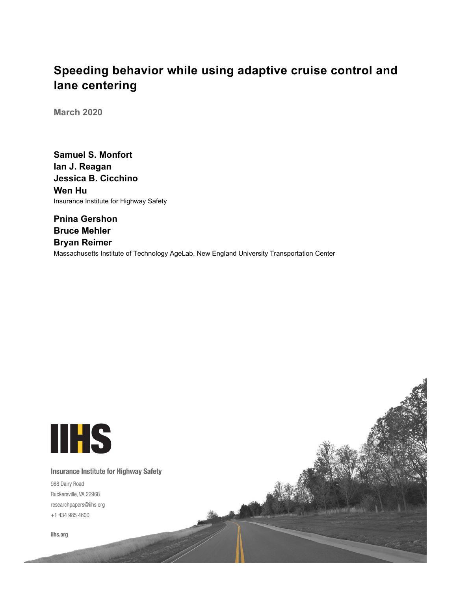# **Speeding behavior while using adaptive cruise control and lane centering**

**March 2020**

**Samuel S. Monfort Ian J. Reagan Jessica B. Cicchino Wen Hu** Insurance Institute for Highway Safety

**Pnina Gershon Bruce Mehler Bryan Reimer** Massachusetts Institute of Technology AgeLab, New England University Transportation Center



**Insurance Institute for Highway Safety** 

988 Dairy Road Ruckersville, VA 22968 researchpapers@iihs.org +1 434 985 4600

iihs.org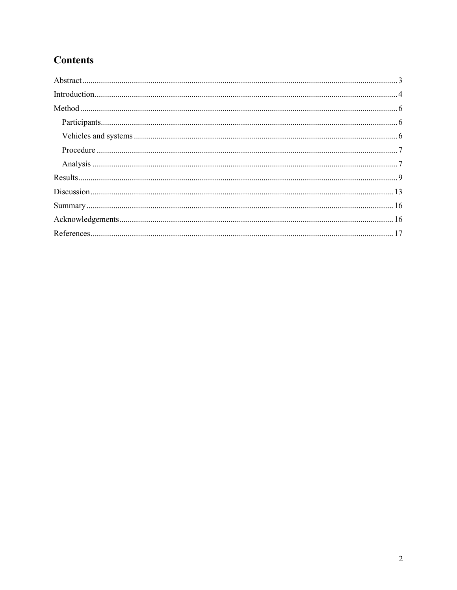# **Contents**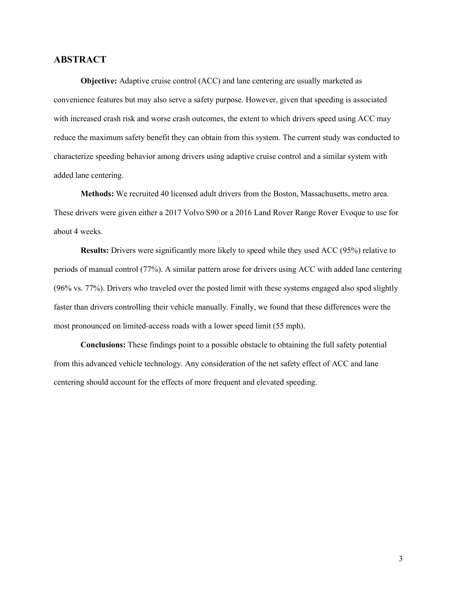# <span id="page-2-0"></span>**ABSTRACT**

**Objective:** Adaptive cruise control (ACC) and lane centering are usually marketed as convenience features but may also serve a safety purpose. However, given that speeding is associated with increased crash risk and worse crash outcomes, the extent to which drivers speed using ACC may reduce the maximum safety benefit they can obtain from this system. The current study was conducted to characterize speeding behavior among drivers using adaptive cruise control and a similar system with added lane centering.

**Methods:** We recruited 40 licensed adult drivers from the Boston, Massachusetts, metro area. These drivers were given either a 2017 Volvo S90 or a 2016 Land Rover Range Rover Evoque to use for about 4 weeks.

**Results:** Drivers were significantly more likely to speed while they used ACC (95%) relative to periods of manual control (77%). A similar pattern arose for drivers using ACC with added lane centering (96% vs. 77%). Drivers who traveled over the posted limit with these systems engaged also sped slightly faster than drivers controlling their vehicle manually. Finally, we found that these differences were the most pronounced on limited-access roads with a lower speed limit (55 mph).

**Conclusions:** These findings point to a possible obstacle to obtaining the full safety potential from this advanced vehicle technology. Any consideration of the net safety effect of ACC and lane centering should account for the effects of more frequent and elevated speeding.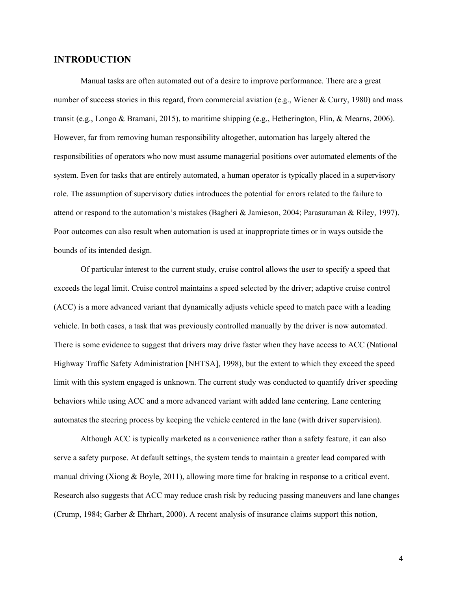# <span id="page-3-0"></span>**INTRODUCTION**

Manual tasks are often automated out of a desire to improve performance. There are a great number of success stories in this regard, from commercial aviation (e.g., Wiener & Curry, 1980) and mass transit (e.g., Longo & Bramani, 2015), to maritime shipping (e.g., Hetherington, Flin, & Mearns, 2006). However, far from removing human responsibility altogether, automation has largely altered the responsibilities of operators who now must assume managerial positions over automated elements of the system. Even for tasks that are entirely automated, a human operator is typically placed in a supervisory role. The assumption of supervisory duties introduces the potential for errors related to the failure to attend or respond to the automation's mistakes (Bagheri & Jamieson, 2004; Parasuraman & Riley, 1997). Poor outcomes can also result when automation is used at inappropriate times or in ways outside the bounds of its intended design.

Of particular interest to the current study, cruise control allows the user to specify a speed that exceeds the legal limit. Cruise control maintains a speed selected by the driver; adaptive cruise control (ACC) is a more advanced variant that dynamically adjusts vehicle speed to match pace with a leading vehicle. In both cases, a task that was previously controlled manually by the driver is now automated. There is some evidence to suggest that drivers may drive faster when they have access to ACC (National Highway Traffic Safety Administration [NHTSA], 1998), but the extent to which they exceed the speed limit with this system engaged is unknown. The current study was conducted to quantify driver speeding behaviors while using ACC and a more advanced variant with added lane centering. Lane centering automates the steering process by keeping the vehicle centered in the lane (with driver supervision).

Although ACC is typically marketed as a convenience rather than a safety feature, it can also serve a safety purpose. At default settings, the system tends to maintain a greater lead compared with manual driving (Xiong & Boyle, 2011), allowing more time for braking in response to a critical event. Research also suggests that ACC may reduce crash risk by reducing passing maneuvers and lane changes (Crump, 1984; Garber & Ehrhart, 2000). A recent analysis of insurance claims support this notion,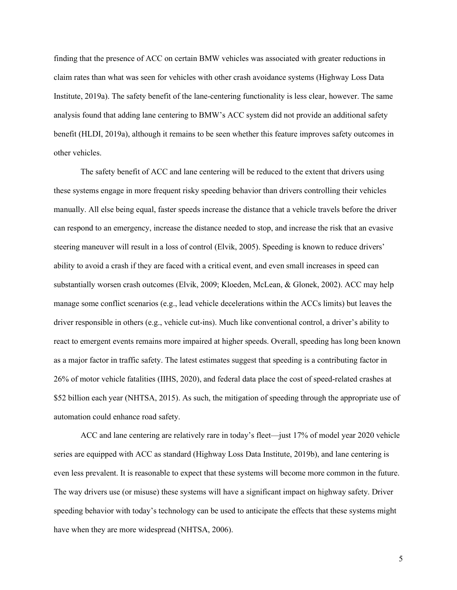finding that the presence of ACC on certain BMW vehicles was associated with greater reductions in claim rates than what was seen for vehicles with other crash avoidance systems (Highway Loss Data Institute, 2019a). The safety benefit of the lane-centering functionality is less clear, however. The same analysis found that adding lane centering to BMW's ACC system did not provide an additional safety benefit (HLDI, 2019a), although it remains to be seen whether this feature improves safety outcomes in other vehicles.

The safety benefit of ACC and lane centering will be reduced to the extent that drivers using these systems engage in more frequent risky speeding behavior than drivers controlling their vehicles manually. All else being equal, faster speeds increase the distance that a vehicle travels before the driver can respond to an emergency, increase the distance needed to stop, and increase the risk that an evasive steering maneuver will result in a loss of control (Elvik, 2005). Speeding is known to reduce drivers' ability to avoid a crash if they are faced with a critical event, and even small increases in speed can substantially worsen crash outcomes (Elvik, 2009; Kloeden, McLean, & Glonek, 2002). ACC may help manage some conflict scenarios (e.g., lead vehicle decelerations within the ACCs limits) but leaves the driver responsible in others (e.g., vehicle cut-ins). Much like conventional control, a driver's ability to react to emergent events remains more impaired at higher speeds. Overall, speeding has long been known as a major factor in traffic safety. The latest estimates suggest that speeding is a contributing factor in 26% of motor vehicle fatalities (IIHS, 2020), and federal data place the cost of speed-related crashes at \$52 billion each year (NHTSA, 2015). As such, the mitigation of speeding through the appropriate use of automation could enhance road safety.

ACC and lane centering are relatively rare in today's fleet—just 17% of model year 2020 vehicle series are equipped with ACC as standard (Highway Loss Data Institute, 2019b), and lane centering is even less prevalent. It is reasonable to expect that these systems will become more common in the future. The way drivers use (or misuse) these systems will have a significant impact on highway safety. Driver speeding behavior with today's technology can be used to anticipate the effects that these systems might have when they are more widespread (NHTSA, 2006).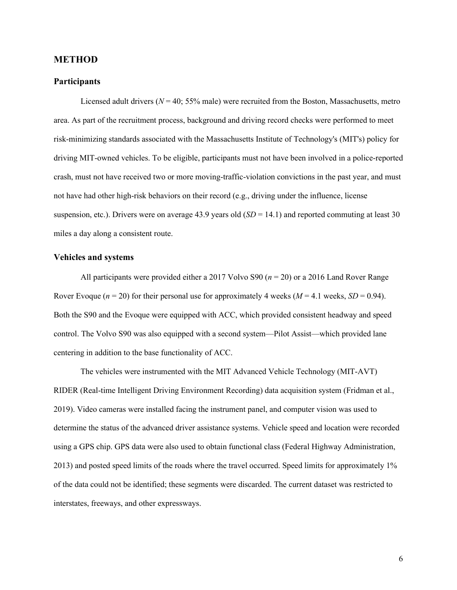# <span id="page-5-0"></span>**METHOD**

#### <span id="page-5-1"></span>**Participants**

Licensed adult drivers ( $N = 40$ ; 55% male) were recruited from the Boston, Massachusetts, metro area. As part of the recruitment process, background and driving record checks were performed to meet risk-minimizing standards associated with the Massachusetts Institute of Technology's (MIT's) policy for driving MIT-owned vehicles. To be eligible, participants must not have been involved in a police-reported crash, must not have received two or more moving-traffic-violation convictions in the past year, and must not have had other high-risk behaviors on their record (e.g., driving under the influence, license suspension, etc.). Drivers were on average 43.9 years old  $(SD = 14.1)$  and reported commuting at least 30 miles a day along a consistent route.

#### <span id="page-5-2"></span>**Vehicles and systems**

All participants were provided either a 2017 Volvo S90 (*n* = 20) or a 2016 Land Rover Range Rover Evoque ( $n = 20$ ) for their personal use for approximately 4 weeks ( $M = 4.1$  weeks,  $SD = 0.94$ ). Both the S90 and the Evoque were equipped with ACC, which provided consistent headway and speed control. The Volvo S90 was also equipped with a second system—Pilot Assist—which provided lane centering in addition to the base functionality of ACC.

The vehicles were instrumented with the MIT Advanced Vehicle Technology (MIT-AVT) RIDER (Real-time Intelligent Driving Environment Recording) data acquisition system (Fridman et al., 2019). Video cameras were installed facing the instrument panel, and computer vision was used to determine the status of the advanced driver assistance systems. Vehicle speed and location were recorded using a GPS chip. GPS data were also used to obtain functional class (Federal Highway Administration, 2013) and posted speed limits of the roads where the travel occurred. Speed limits for approximately 1% of the data could not be identified; these segments were discarded. The current dataset was restricted to interstates, freeways, and other expressways.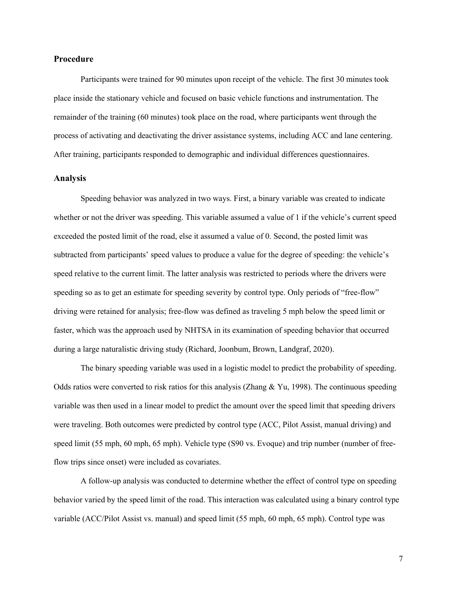#### <span id="page-6-0"></span>**Procedure**

Participants were trained for 90 minutes upon receipt of the vehicle. The first 30 minutes took place inside the stationary vehicle and focused on basic vehicle functions and instrumentation. The remainder of the training (60 minutes) took place on the road, where participants went through the process of activating and deactivating the driver assistance systems, including ACC and lane centering. After training, participants responded to demographic and individual differences questionnaires.

#### <span id="page-6-1"></span>**Analysis**

Speeding behavior was analyzed in two ways. First, a binary variable was created to indicate whether or not the driver was speeding. This variable assumed a value of 1 if the vehicle's current speed exceeded the posted limit of the road, else it assumed a value of 0. Second, the posted limit was subtracted from participants' speed values to produce a value for the degree of speeding: the vehicle's speed relative to the current limit. The latter analysis was restricted to periods where the drivers were speeding so as to get an estimate for speeding severity by control type. Only periods of "free-flow" driving were retained for analysis; free-flow was defined as traveling 5 mph below the speed limit or faster, which was the approach used by NHTSA in its examination of speeding behavior that occurred during a large naturalistic driving study (Richard, Joonbum, Brown, Landgraf, 2020).

The binary speeding variable was used in a logistic model to predict the probability of speeding. Odds ratios were converted to risk ratios for this analysis (Zhang & Yu, 1998). The continuous speeding variable was then used in a linear model to predict the amount over the speed limit that speeding drivers were traveling. Both outcomes were predicted by control type (ACC, Pilot Assist, manual driving) and speed limit (55 mph, 60 mph, 65 mph). Vehicle type (S90 vs. Evoque) and trip number (number of freeflow trips since onset) were included as covariates.

A follow-up analysis was conducted to determine whether the effect of control type on speeding behavior varied by the speed limit of the road. This interaction was calculated using a binary control type variable (ACC/Pilot Assist vs. manual) and speed limit (55 mph, 60 mph, 65 mph). Control type was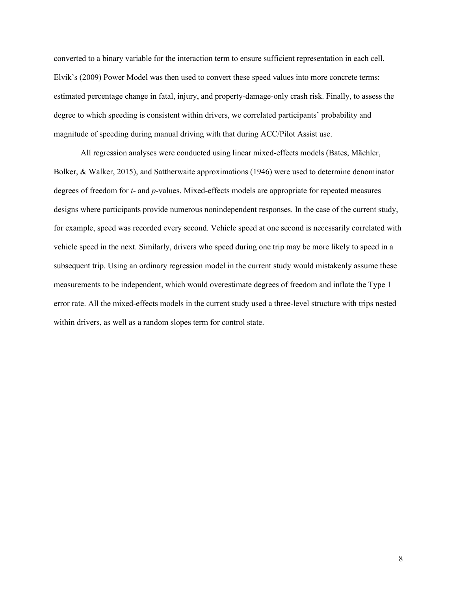converted to a binary variable for the interaction term to ensure sufficient representation in each cell. Elvik's (2009) Power Model was then used to convert these speed values into more concrete terms: estimated percentage change in fatal, injury, and property-damage-only crash risk. Finally, to assess the degree to which speeding is consistent within drivers, we correlated participants' probability and magnitude of speeding during manual driving with that during ACC/Pilot Assist use.

All regression analyses were conducted using linear mixed-effects models (Bates, Mächler, Bolker, & Walker, 2015), and Sattherwaite approximations (1946) were used to determine denominator degrees of freedom for *t*- and *p*-values. Mixed-effects models are appropriate for repeated measures designs where participants provide numerous nonindependent responses. In the case of the current study, for example, speed was recorded every second. Vehicle speed at one second is necessarily correlated with vehicle speed in the next. Similarly, drivers who speed during one trip may be more likely to speed in a subsequent trip. Using an ordinary regression model in the current study would mistakenly assume these measurements to be independent, which would overestimate degrees of freedom and inflate the Type 1 error rate. All the mixed-effects models in the current study used a three-level structure with trips nested within drivers, as well as a random slopes term for control state.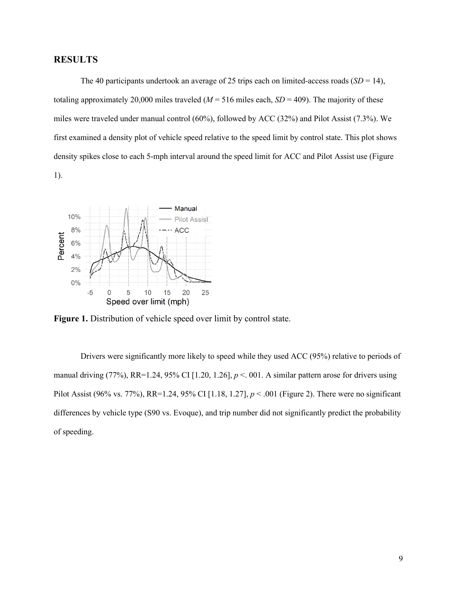# <span id="page-8-0"></span>**RESULTS**

The 40 participants undertook an average of 25 trips each on limited-access roads  $(SD = 14)$ , totaling approximately 20,000 miles traveled ( $M = 516$  miles each,  $SD = 409$ ). The majority of these miles were traveled under manual control (60%), followed by ACC (32%) and Pilot Assist (7.3%). We first examined a density plot of vehicle speed relative to the speed limit by control state. This plot shows density spikes close to each 5-mph interval around the speed limit for ACC and Pilot Assist use (Figure 1).



Figure 1. Distribution of vehicle speed over limit by control state.

Drivers were significantly more likely to speed while they used ACC (95%) relative to periods of manual driving (77%), RR=1.24, 95% CI [1.20, 1.26],  $p < 0.01$ . A similar pattern arose for drivers using Pilot Assist (96% vs. 77%), RR=1.24, 95% CI [1.18, 1.27], *p* < .001 (Figure 2). There were no significant differences by vehicle type (S90 vs. Evoque), and trip number did not significantly predict the probability of speeding.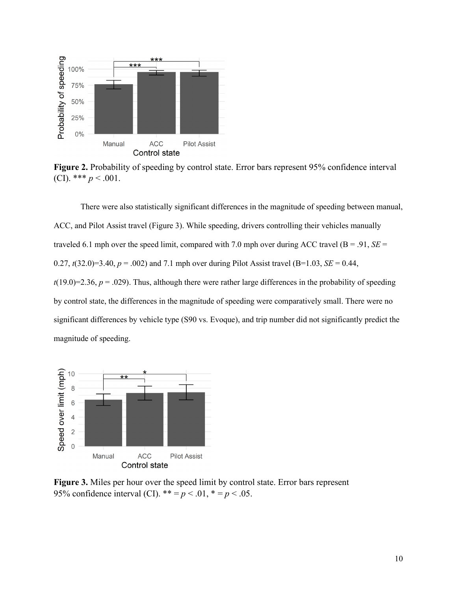

**Figure 2.** Probability of speeding by control state. Error bars represent 95% confidence interval (CI). \*\*\*  $p < .001$ .

There were also statistically significant differences in the magnitude of speeding between manual, ACC, and Pilot Assist travel (Figure 3). While speeding, drivers controlling their vehicles manually traveled 6.1 mph over the speed limit, compared with 7.0 mph over during ACC travel ( $B = .91$ ,  $SE =$ 0.27,  $t(32.0)=3.40$ ,  $p = .002$ ) and 7.1 mph over during Pilot Assist travel (B=1.03, *SE* = 0.44,  $t(19.0)=2.36, p = .029$ . Thus, although there were rather large differences in the probability of speeding by control state, the differences in the magnitude of speeding were comparatively small. There were no significant differences by vehicle type (S90 vs. Evoque), and trip number did not significantly predict the magnitude of speeding.



**Figure 3.** Miles per hour over the speed limit by control state. Error bars represent 95% confidence interval (CI).  $** = p < .01$ ,  $* = p < .05$ .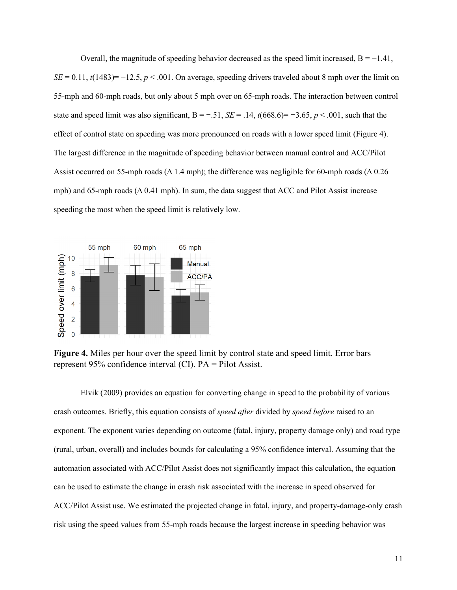Overall, the magnitude of speeding behavior decreased as the speed limit increased,  $B = -1.41$ ,  $SE = 0.11$ ,  $t(1483) = -12.5$ ,  $p < .001$ . On average, speeding drivers traveled about 8 mph over the limit on 55-mph and 60-mph roads, but only about 5 mph over on 65-mph roads. The interaction between control state and speed limit was also significant,  $B = -0.51$ ,  $SE = 0.14$ ,  $t(668.6) = -0.365$ ,  $p < 0.001$ , such that the effect of control state on speeding was more pronounced on roads with a lower speed limit (Figure 4). The largest difference in the magnitude of speeding behavior between manual control and ACC/Pilot Assist occurred on 55-mph roads ( $\Delta$  1.4 mph); the difference was negligible for 60-mph roads ( $\Delta$  0.26 mph) and 65-mph roads (∆ 0.41 mph). In sum, the data suggest that ACC and Pilot Assist increase speeding the most when the speed limit is relatively low.



**Figure 4.** Miles per hour over the speed limit by control state and speed limit. Error bars represent 95% confidence interval (CI). PA = Pilot Assist.

Elvik (2009) provides an equation for converting change in speed to the probability of various crash outcomes. Briefly, this equation consists of *speed after* divided by *speed before* raised to an exponent. The exponent varies depending on outcome (fatal, injury, property damage only) and road type (rural, urban, overall) and includes bounds for calculating a 95% confidence interval. Assuming that the automation associated with ACC/Pilot Assist does not significantly impact this calculation, the equation can be used to estimate the change in crash risk associated with the increase in speed observed for ACC/Pilot Assist use. We estimated the projected change in fatal, injury, and property-damage-only crash risk using the speed values from 55-mph roads because the largest increase in speeding behavior was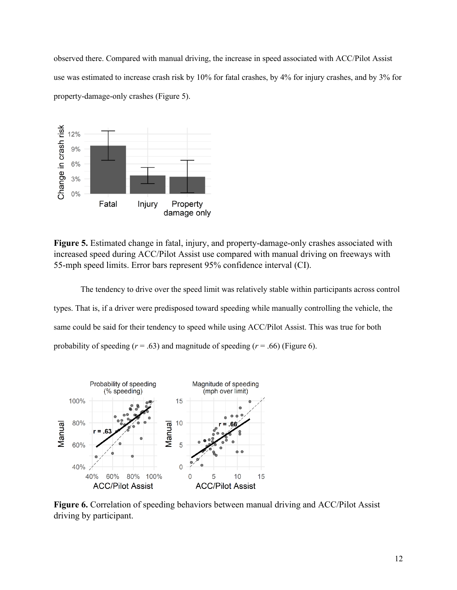observed there. Compared with manual driving, the increase in speed associated with ACC/Pilot Assist use was estimated to increase crash risk by 10% for fatal crashes, by 4% for injury crashes, and by 3% for property-damage-only crashes (Figure 5).



**Figure 5.** Estimated change in fatal, injury, and property-damage-only crashes associated with increased speed during ACC/Pilot Assist use compared with manual driving on freeways with 55-mph speed limits. Error bars represent 95% confidence interval (CI).

The tendency to drive over the speed limit was relatively stable within participants across control types. That is, if a driver were predisposed toward speeding while manually controlling the vehicle, the same could be said for their tendency to speed while using ACC/Pilot Assist. This was true for both probability of speeding  $(r = .63)$  and magnitude of speeding  $(r = .66)$  (Figure 6).



**Figure 6.** Correlation of speeding behaviors between manual driving and ACC/Pilot Assist driving by participant.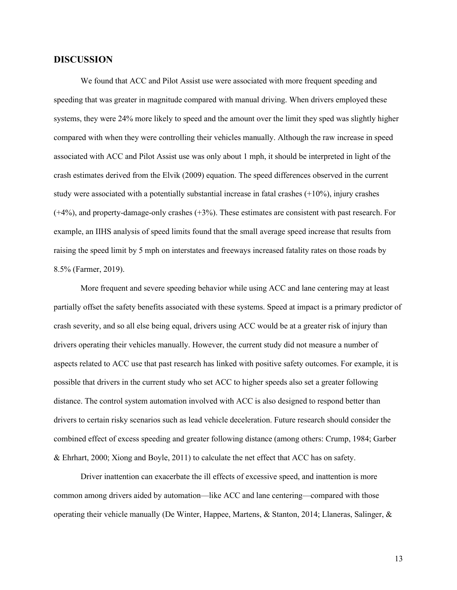# <span id="page-12-0"></span>**DISCUSSION**

We found that ACC and Pilot Assist use were associated with more frequent speeding and speeding that was greater in magnitude compared with manual driving. When drivers employed these systems, they were 24% more likely to speed and the amount over the limit they sped was slightly higher compared with when they were controlling their vehicles manually. Although the raw increase in speed associated with ACC and Pilot Assist use was only about 1 mph, it should be interpreted in light of the crash estimates derived from the Elvik (2009) equation. The speed differences observed in the current study were associated with a potentially substantial increase in fatal crashes  $(+10\%)$ , injury crashes (+4%), and property-damage-only crashes (+3%). These estimates are consistent with past research. For example, an IIHS analysis of speed limits found that the small average speed increase that results from raising the speed limit by 5 mph on interstates and freeways increased fatality rates on those roads by 8.5% (Farmer, 2019).

More frequent and severe speeding behavior while using ACC and lane centering may at least partially offset the safety benefits associated with these systems. Speed at impact is a primary predictor of crash severity, and so all else being equal, drivers using ACC would be at a greater risk of injury than drivers operating their vehicles manually. However, the current study did not measure a number of aspects related to ACC use that past research has linked with positive safety outcomes. For example, it is possible that drivers in the current study who set ACC to higher speeds also set a greater following distance. The control system automation involved with ACC is also designed to respond better than drivers to certain risky scenarios such as lead vehicle deceleration. Future research should consider the combined effect of excess speeding and greater following distance (among others: Crump, 1984; Garber & Ehrhart, 2000; Xiong and Boyle, 2011) to calculate the net effect that ACC has on safety.

Driver inattention can exacerbate the ill effects of excessive speed, and inattention is more common among drivers aided by automation—like ACC and lane centering—compared with those operating their vehicle manually (De Winter, Happee, Martens, & Stanton, 2014; Llaneras, Salinger, &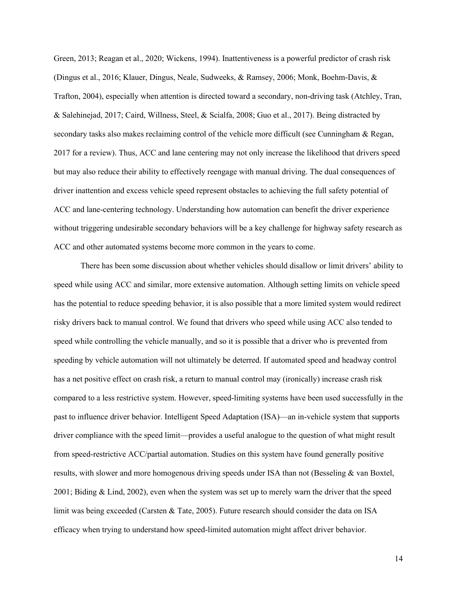Green, 2013; Reagan et al., 2020; Wickens, 1994). Inattentiveness is a powerful predictor of crash risk (Dingus et al., 2016; Klauer, Dingus, Neale, Sudweeks, & Ramsey, 2006; Monk, Boehm-Davis, & Trafton, 2004), especially when attention is directed toward a secondary, non-driving task (Atchley, Tran, & Salehinejad, 2017; Caird, Willness, Steel, & Scialfa, 2008; Guo et al., 2017). Being distracted by secondary tasks also makes reclaiming control of the vehicle more difficult (see Cunningham & Regan, 2017 for a review). Thus, ACC and lane centering may not only increase the likelihood that drivers speed but may also reduce their ability to effectively reengage with manual driving. The dual consequences of driver inattention and excess vehicle speed represent obstacles to achieving the full safety potential of ACC and lane-centering technology. Understanding how automation can benefit the driver experience without triggering undesirable secondary behaviors will be a key challenge for highway safety research as ACC and other automated systems become more common in the years to come.

There has been some discussion about whether vehicles should disallow or limit drivers' ability to speed while using ACC and similar, more extensive automation. Although setting limits on vehicle speed has the potential to reduce speeding behavior, it is also possible that a more limited system would redirect risky drivers back to manual control. We found that drivers who speed while using ACC also tended to speed while controlling the vehicle manually, and so it is possible that a driver who is prevented from speeding by vehicle automation will not ultimately be deterred. If automated speed and headway control has a net positive effect on crash risk, a return to manual control may (ironically) increase crash risk compared to a less restrictive system. However, speed-limiting systems have been used successfully in the past to influence driver behavior. Intelligent Speed Adaptation (ISA)—an in-vehicle system that supports driver compliance with the speed limit—provides a useful analogue to the question of what might result from speed-restrictive ACC/partial automation. Studies on this system have found generally positive results, with slower and more homogenous driving speeds under ISA than not (Besseling & van Boxtel, 2001; Biding & Lind, 2002), even when the system was set up to merely warn the driver that the speed limit was being exceeded (Carsten & Tate, 2005). Future research should consider the data on ISA efficacy when trying to understand how speed-limited automation might affect driver behavior.

14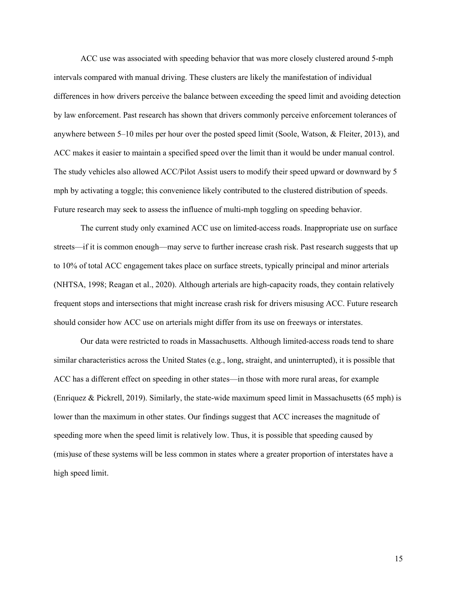ACC use was associated with speeding behavior that was more closely clustered around 5-mph intervals compared with manual driving. These clusters are likely the manifestation of individual differences in how drivers perceive the balance between exceeding the speed limit and avoiding detection by law enforcement. Past research has shown that drivers commonly perceive enforcement tolerances of anywhere between 5–10 miles per hour over the posted speed limit (Soole, Watson, & Fleiter, 2013), and ACC makes it easier to maintain a specified speed over the limit than it would be under manual control. The study vehicles also allowed ACC/Pilot Assist users to modify their speed upward or downward by 5 mph by activating a toggle; this convenience likely contributed to the clustered distribution of speeds. Future research may seek to assess the influence of multi-mph toggling on speeding behavior.

The current study only examined ACC use on limited-access roads. Inappropriate use on surface streets—if it is common enough—may serve to further increase crash risk. Past research suggests that up to 10% of total ACC engagement takes place on surface streets, typically principal and minor arterials (NHTSA, 1998; Reagan et al., 2020). Although arterials are high-capacity roads, they contain relatively frequent stops and intersections that might increase crash risk for drivers misusing ACC. Future research should consider how ACC use on arterials might differ from its use on freeways or interstates.

Our data were restricted to roads in Massachusetts. Although limited-access roads tend to share similar characteristics across the United States (e.g., long, straight, and uninterrupted), it is possible that ACC has a different effect on speeding in other states—in those with more rural areas, for example (Enriquez & Pickrell, 2019). Similarly, the state-wide maximum speed limit in Massachusetts (65 mph) is lower than the maximum in other states. Our findings suggest that ACC increases the magnitude of speeding more when the speed limit is relatively low. Thus, it is possible that speeding caused by (mis)use of these systems will be less common in states where a greater proportion of interstates have a high speed limit.

15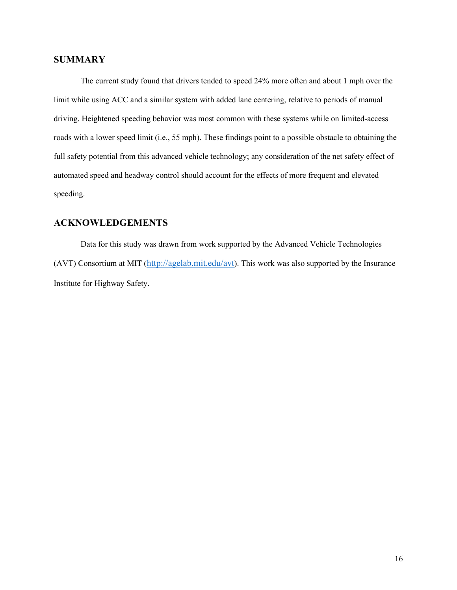# <span id="page-15-0"></span>**SUMMARY**

The current study found that drivers tended to speed 24% more often and about 1 mph over the limit while using ACC and a similar system with added lane centering, relative to periods of manual driving. Heightened speeding behavior was most common with these systems while on limited-access roads with a lower speed limit (i.e., 55 mph). These findings point to a possible obstacle to obtaining the full safety potential from this advanced vehicle technology; any consideration of the net safety effect of automated speed and headway control should account for the effects of more frequent and elevated speeding.

# <span id="page-15-1"></span>**ACKNOWLEDGEMENTS**

Data for this study was drawn from work supported by the Advanced Vehicle Technologies (AVT) Consortium at MIT [\(http://agelab.mit.edu/avt\)](http://agelab.mit.edu/avt). This work was also supported by the Insurance Institute for Highway Safety.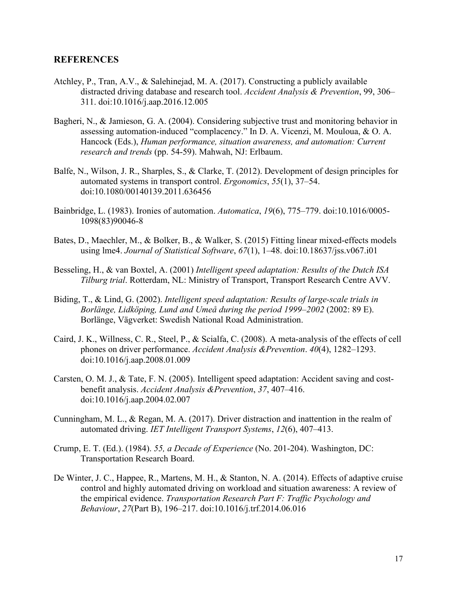# <span id="page-16-0"></span>**REFERENCES**

- Atchley, P., Tran, A.V., & Salehinejad, M. A. (2017). Constructing a publicly available distracted driving database and research tool. *Accident Analysis & Prevention*, 99, 306– 311. doi:10.1016/j.aap.2016.12.005
- Bagheri, N., & Jamieson, G. A. (2004). Considering subjective trust and monitoring behavior in assessing automation-induced "complacency." In D. A. Vicenzi, M. Mouloua, & O. A. Hancock (Eds.), *Human performance, situation awareness, and automation: Current research and trends* (pp. 54-59). Mahwah, NJ: Erlbaum.
- Balfe, N., Wilson, J. R., Sharples, S., & Clarke, T. (2012). Development of design principles for automated systems in transport control. *Ergonomics*, *55*(1), 37–54. doi:10.1080/00140139.2011.636456
- Bainbridge, L. (1983). Ironies of automation. *Automatica*, *19*(6), 775–779. doi:10.1016/0005- 1098(83)90046-8
- Bates, D., Maechler, M., & Bolker, B., & Walker, S. (2015) Fitting linear mixed-effects models using lme4. *Journal of Statistical Software*, *67*(1), 1–48. doi:10.18637/jss.v067.i01
- Besseling, H., & van Boxtel, A. (2001) *Intelligent speed adaptation: Results of the Dutch ISA Tilburg trial*. Rotterdam, NL: Ministry of Transport, Transport Research Centre AVV.
- Biding, T., & Lind, G. (2002). *Intelligent speed adaptation: Results of large-scale trials in Borlänge, Lidköping, Lund and Umeå during the period 1999–2002* (2002: 89 E). Borlänge, Vägverket: Swedish National Road Administration.
- Caird, J. K., Willness, C. R., Steel, P., & Scialfa, C. (2008). A meta-analysis of the effects of cell phones on driver performance. *Accident Analysis &Prevention*. *40*(4), 1282–1293. doi:10.1016/j.aap.2008.01.009
- Carsten, O. M. J., & Tate, F. N. (2005). Intelligent speed adaptation: Accident saving and costbenefit analysis. *Accident Analysis &Prevention*, *37*, 407–416. doi:10.1016/j.aap.2004.02.007
- Cunningham, M. L., & Regan, M. A. (2017). Driver distraction and inattention in the realm of automated driving. *IET Intelligent Transport Systems*, *12*(6), 407–413.
- Crump, E. T. (Ed.). (1984). *55, a Decade of Experience* (No. 201-204). Washington, DC: Transportation Research Board.
- De Winter, J. C., Happee, R., Martens, M. H., & Stanton, N. A. (2014). Effects of adaptive cruise control and highly automated driving on workload and situation awareness: A review of the empirical evidence. *Transportation Research Part F: Traffic Psychology and Behaviour*, *27*(Part B), 196–217. doi:10.1016/j.trf.2014.06.016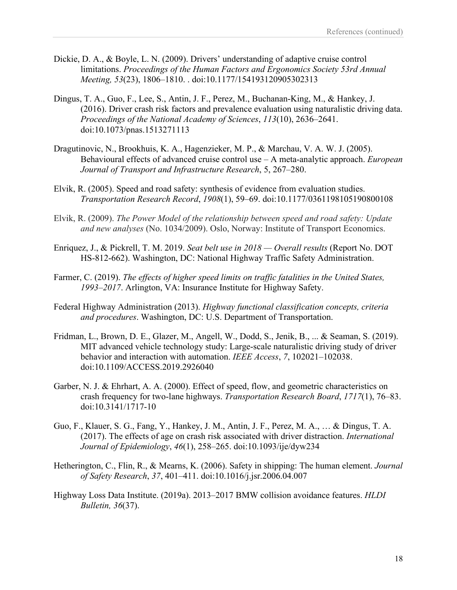- Dickie, D. A., & Boyle, L. N. (2009). Drivers' understanding of adaptive cruise control limitations. *Proceedings of the Human Factors and Ergonomics Society 53rd Annual Meeting, 53*(23), 1806–1810. . doi:10.1177/154193120905302313
- Dingus, T. A., Guo, F., Lee, S., Antin, J. F., Perez, M., Buchanan-King, M., & Hankey, J. (2016). Driver crash risk factors and prevalence evaluation using naturalistic driving data. *Proceedings of the National Academy of Sciences*, *113*(10), 2636–2641. doi:10.1073/pnas.1513271113
- Dragutinovic, N., Brookhuis, K. A., Hagenzieker, M. P., & Marchau, V. A. W. J. (2005). Behavioural effects of advanced cruise control use – A meta-analytic approach. *European Journal of Transport and Infrastructure Research*, 5, 267–280.
- Elvik, R. (2005). Speed and road safety: synthesis of evidence from evaluation studies. *Transportation Research Record*, *1908*(1), 59–69. doi:10.1177/0361198105190800108
- Elvik, R. (2009). *The Power Model of the relationship between speed and road safety: Update and new analyses* (No. 1034/2009). Oslo, Norway: Institute of Transport Economics.
- Enriquez, J., & Pickrell, T. M. 2019. *Seat belt use in 2018 — Overall results* (Report No. DOT HS-812-662). Washington, DC: National Highway Traffic Safety Administration.
- Farmer, C. (2019). *The effects of higher speed limits on traffic fatalities in the United States, 1993–2017*. Arlington, VA: Insurance Institute for Highway Safety.
- Federal Highway Administration (2013). *Highway functional classification concepts, criteria and procedures*. Washington, DC: U.S. Department of Transportation.
- Fridman, L., Brown, D. E., Glazer, M., Angell, W., Dodd, S., Jenik, B., ... & Seaman, S. (2019). MIT advanced vehicle technology study: Large-scale naturalistic driving study of driver behavior and interaction with automation. *IEEE Access*, *7*, 102021–102038. doi:10.1109/ACCESS.2019.2926040
- Garber, N. J. & Ehrhart, A. A. (2000). Effect of speed, flow, and geometric characteristics on crash frequency for two-lane highways. *Transportation Research Board*, *1717*(1), 76–83. doi:10.3141/1717-10
- Guo, F., Klauer, S. G., Fang, Y., Hankey, J. M., Antin, J. F., Perez, M. A., … & Dingus, T. A. (2017). The effects of age on crash risk associated with driver distraction. *International Journal of Epidemiology*, *46*(1), 258–265. doi:10.1093/ije/dyw234
- Hetherington, C., Flin, R., & Mearns, K. (2006). Safety in shipping: The human element. *Journal of Safety Research*, *37*, 401–411. doi:10.1016/j.jsr.2006.04.007
- Highway Loss Data Institute. (2019a). 2013–2017 BMW collision avoidance features. *HLDI Bulletin, 36*(37).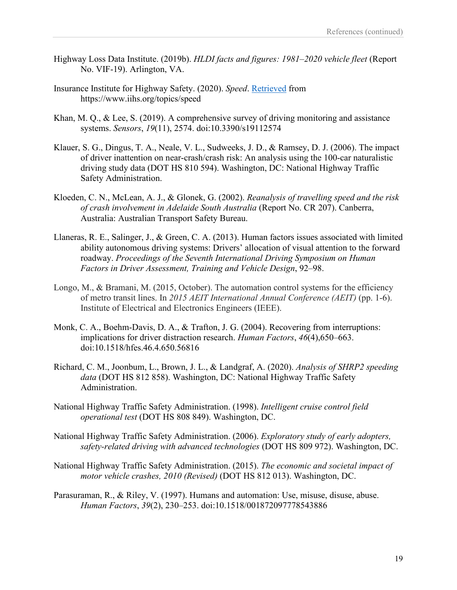- Highway Loss Data Institute. (2019b). *HLDI facts and figures: 1981–2020 vehicle fleet* (Report No. VIF-19). Arlington, VA.
- Insurance Institute for Highway Safety. (2020). *Speed*. Retrieved from https://www.iihs.org/topics/speed
- Khan, M. Q., & Lee, S. (2019). A comprehensive survey of driving monitoring and assistance systems. *Sensors*, *19*(11), 2574. doi:10.3390/s19112574
- Klauer, S. G., Dingus, T. A., Neale, V. L., Sudweeks, J. D., & Ramsey, D. J. (2006). The impact of driver inattention on near-crash/crash risk: An analysis using the 100-car naturalistic driving study data (DOT HS 810 594). Washington, DC: National Highway Traffic Safety Administration.
- Kloeden, C. N., McLean, A. J., & Glonek, G. (2002). *Reanalysis of travelling speed and the risk of crash involvement in Adelaide South Australia* (Report No. CR 207). Canberra, Australia: Australian Transport Safety Bureau.
- Llaneras, R. E., Salinger, J., & Green, C. A. (2013). Human factors issues associated with limited ability autonomous driving systems: Drivers' allocation of visual attention to the forward roadway. *Proceedings of the Seventh International Driving Symposium on Human Factors in Driver Assessment, Training and Vehicle Design*, 92–98.
- Longo, M., & Bramani, M. (2015, October). The automation control systems for the efficiency of metro transit lines. In *2015 AEIT International Annual Conference (AEIT)* (pp. 1-6). Institute of Electrical and Electronics Engineers (IEEE).
- Monk, C. A., Boehm-Davis, D. A., & Trafton, J. G. (2004). Recovering from interruptions: implications for driver distraction research. *Human Factors*, *46*(4),650–663. doi:10.1518/hfes.46.4.650.56816
- Richard, C. M., Joonbum, L., Brown, J. L., & Landgraf, A. (2020). *Analysis of SHRP2 speeding data* (DOT HS 812 858). Washington, DC: National Highway Traffic Safety Administration.
- National Highway Traffic Safety Administration. (1998). *Intelligent cruise control field operational test* (DOT HS 808 849). Washington, DC.
- National Highway Traffic Safety Administration. (2006). *Exploratory study of early adopters, safety-related driving with advanced technologies* (DOT HS 809 972). Washington, DC.
- National Highway Traffic Safety Administration. (2015). *The economic and societal impact of motor vehicle crashes, 2010 (Revised)* (DOT HS 812 013). Washington, DC.
- Parasuraman, R., & Riley, V. (1997). Humans and automation: Use, misuse, disuse, abuse. *Human Factors*, *39*(2), 230–253. doi:10.1518/001872097778543886